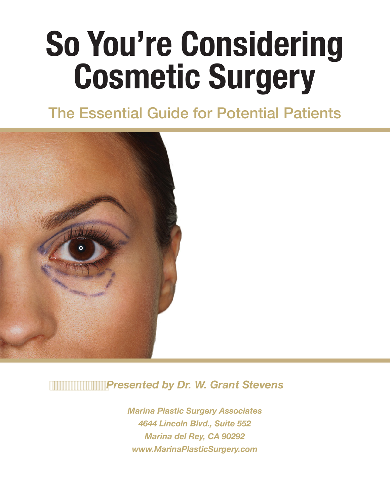# **So You're Considering Cosmetic Surgery**

The Essential Guide for Potential Patients



#### *Presented by Dr. W. Grant Stevens*

*Marina Plastic Surgery Associates 4644 Lincoln Blvd., Suite 552 Marina del Rey, CA 90292 www.MarinaPlasticSurgery.com*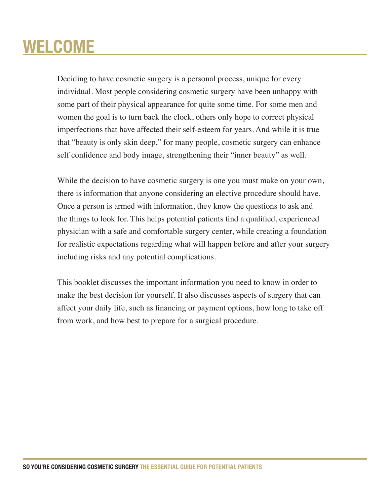### **WELCOME**

Deciding to have cosmetic surgery is a personal process, unique for every individual. Most people considering cosmetic surgery have been unhappy with some part of their physical appearance for quite some time. For some men and women the goal is to turn back the clock, others only hope to correct physical imperfections that have affected their self-esteem for years. And while it is true that "beauty is only skin deep," for many people, cosmetic surgery can enhance self confidence and body image, strengthening their "inner beauty" as well.

While the decision to have cosmetic surgery is one you must make on your own, there is information that anyone considering an elective procedure should have. Once a person is armed with information, they know the questions to ask and the things to look for. This helps potential patients find a qualified, experienced physician with a safe and comfortable surgery center, while creating a foundation for realistic expectations regarding what will happen before and after your surgery including risks and any potential complications.

This booklet discusses the important information you need to know in order to make the best decision for yourself. It also discusses aspects of surgery that can affect your daily life, such as financing or payment options, how long to take off from work, and how best to prepare for a surgical procedure.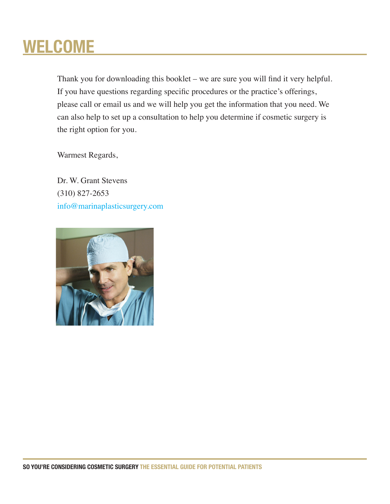### **WELCOME**

Thank you for downloading this booklet – we are sure you will find it very helpful. If you have questions regarding specific procedures or the practice's offerings, please call or email us and we will help you get the information that you need. We can also help to set up a consultation to help you determine if cosmetic surgery is the right option for you.

Warmest Regards,

Dr. W. Grant Stevens (310) 827-2653 info@marinaplasticsurgery.com

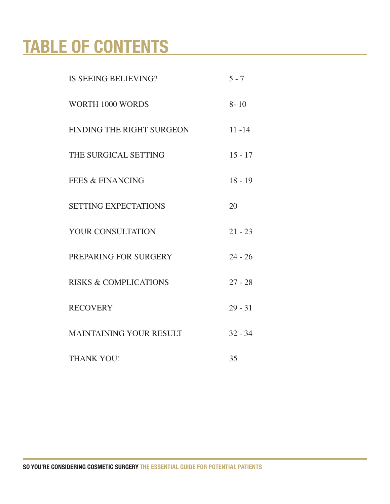# **TABLE OF CONTENTS**

| IS SEEING BELIEVING?             | $5 - 7$   |
|----------------------------------|-----------|
| WORTH 1000 WORDS                 | $8 - 10$  |
| FINDING THE RIGHT SURGEON        | $11 - 14$ |
| THE SURGICAL SETTING             | $15 - 17$ |
| <b>FEES &amp; FINANCING</b>      | $18 - 19$ |
| <b>SETTING EXPECTATIONS</b>      | 20        |
| YOUR CONSULTATION                | $21 - 23$ |
| PREPARING FOR SURGERY            | $24 - 26$ |
| <b>RISKS &amp; COMPLICATIONS</b> | $27 - 28$ |
| <b>RECOVERY</b>                  | $29 - 31$ |
| <b>MAINTAINING YOUR RESULT</b>   | $32 - 34$ |
| <b>THANK YOU!</b>                | 35        |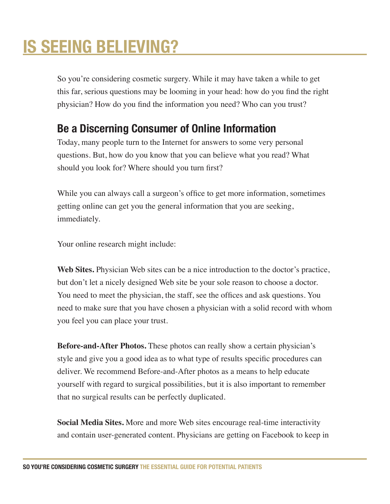### **IS SEEING BELIEVING?**

So you're considering cosmetic surgery. While it may have taken a while to get this far, serious questions may be looming in your head: how do you find the right physician? How do you find the information you need? Who can you trust?

#### **Be a Discerning Consumer of Online Information**

Today, many people turn to the Internet for answers to some very personal questions. But, how do you know that you can believe what you read? What should you look for? Where should you turn first?

While you can always call a surgeon's office to get more information, sometimes getting online can get you the general information that you are seeking, immediately.

Your online research might include:

**Web Sites.** Physician Web sites can be a nice introduction to the doctor's practice, but don't let a nicely designed Web site be your sole reason to choose a doctor. You need to meet the physician, the staff, see the offices and ask questions. You need to make sure that you have chosen a physician with a solid record with whom you feel you can place your trust.

**Before-and-After Photos.** These photos can really show a certain physician's style and give you a good idea as to what type of results specific procedures can deliver. We recommend Before-and-After photos as a means to help educate yourself with regard to surgical possibilities, but it is also important to remember that no surgical results can be perfectly duplicated.

**Social Media Sites.** More and more Web sites encourage real-time interactivity and contain user-generated content. Physicians are getting on Facebook to keep in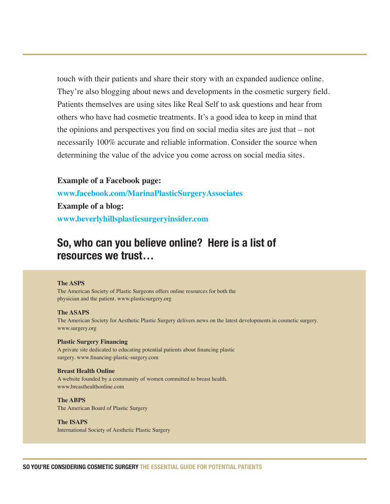touch with their patients and share their story with an expanded audience online. They're also blogging about news and developments in the cosmetic surgery field. Patients themselves are using sites like Real Self to ask questions and hear from others who have had cosmetic treatments. It's a good idea to keep in mind that the opinions and perspectives you find on social media sites are just that – not necessarily 100% accurate and reliable information. Consider the source when determining the value of the advice you come across on social media sites.

**Example of a Facebook page:**

**www.facebook.com/MarinaPlasticSurgeryAssociates Example of a blog: www.beverlyhillsplasticsurgeryinsider.com**

#### **So, who can you believe online? Here is a list of resources we trust…**

#### **The ASPS**

The American Society of Plastic Surgeons offers online resources for both the physician and the patient. www.plasticsurgery.org

#### **The ASAPS**

The American Society for Aesthetic Plastic Surgery delivers news on the latest developments in cosmetic surgery. www.surgery.org

#### **Plastic Surgery Financing**

A private site dedicated to educating potential patients about financing plastic surgery. www.financing-plastic-surgery.com

#### **Breast Health Online**

A website founded by a community of women committed to breast health. www.breasthealthonline.com

#### **The ABPS**

The American Board of Plastic Surgery

#### **The ISAPS**

International Society of Aesthetic Plastic Surgery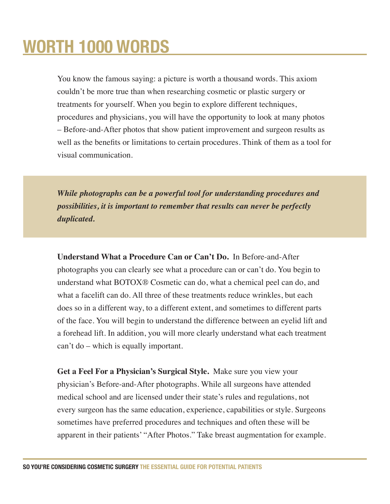### **WORTH 1000 WORDS**

You know the famous saying: a picture is worth a thousand words. This axiom couldn't be more true than when researching cosmetic or plastic surgery or treatments for yourself. When you begin to explore different techniques, procedures and physicians, you will have the opportunity to look at many photos – Before-and-After photos that show patient improvement and surgeon results as well as the benefits or limitations to certain procedures. Think of them as a tool for visual communication.

*While photographs can be a powerful tool for understanding procedures and possibilities, it is important to remember that results can never be perfectly duplicated.*

**Understand What a Procedure Can or Can't Do.** In Before-and-After photographs you can clearly see what a procedure can or can't do. You begin to understand what BOTOX® Cosmetic can do, what a chemical peel can do, and what a facelift can do. All three of these treatments reduce wrinkles, but each does so in a different way, to a different extent, and sometimes to different parts of the face. You will begin to understand the difference between an eyelid lift and a forehead lift. In addition, you will more clearly understand what each treatment can't do – which is equally important.

**Get a Feel For a Physician's Surgical Style.** Make sure you view your physician's Before-and-After photographs. While all surgeons have attended medical school and are licensed under their state's rules and regulations, not every surgeon has the same education, experience, capabilities or style. Surgeons sometimes have preferred procedures and techniques and often these will be apparent in their patients' "After Photos." Take breast augmentation for example.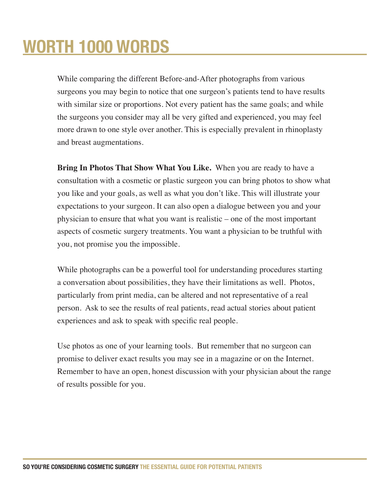### **WORTH 1000 WORDS**

While comparing the different Before-and-After photographs from various surgeons you may begin to notice that one surgeon's patients tend to have results with similar size or proportions. Not every patient has the same goals; and while the surgeons you consider may all be very gifted and experienced, you may feel more drawn to one style over another. This is especially prevalent in rhinoplasty and breast augmentations.

**Bring In Photos That Show What You Like.** When you are ready to have a consultation with a cosmetic or plastic surgeon you can bring photos to show what you like and your goals, as well as what you don't like. This will illustrate your expectations to your surgeon. It can also open a dialogue between you and your physician to ensure that what you want is realistic – one of the most important aspects of cosmetic surgery treatments. You want a physician to be truthful with you, not promise you the impossible.

While photographs can be a powerful tool for understanding procedures starting a conversation about possibilities, they have their limitations as well. Photos, particularly from print media, can be altered and not representative of a real person. Ask to see the results of real patients, read actual stories about patient experiences and ask to speak with specific real people.

Use photos as one of your learning tools. But remember that no surgeon can promise to deliver exact results you may see in a magazine or on the Internet. Remember to have an open, honest discussion with your physician about the range of results possible for you.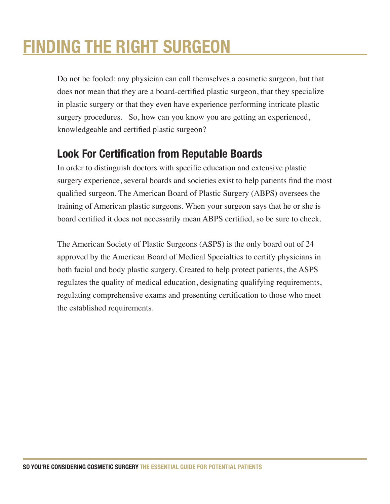# **FINDING THE RIGHT SURGEON**

Do not be fooled: any physician can call themselves a cosmetic surgeon, but that does not mean that they are a board-certified plastic surgeon, that they specialize in plastic surgery or that they even have experience performing intricate plastic surgery procedures. So, how can you know you are getting an experienced, knowledgeable and certified plastic surgeon?

#### **Look For Certification from Reputable Boards**

In order to distinguish doctors with specific education and extensive plastic surgery experience, several boards and societies exist to help patients find the most qualified surgeon. The American Board of Plastic Surgery (ABPS) oversees the training of American plastic surgeons. When your surgeon says that he or she is board certified it does not necessarily mean ABPS certified, so be sure to check.

The American Society of Plastic Surgeons (ASPS) is the only board out of 24 approved by the American Board of Medical Specialties to certify physicians in both facial and body plastic surgery. Created to help protect patients, the ASPS regulates the quality of medical education, designating qualifying requirements, regulating comprehensive exams and presenting certification to those who meet the established requirements.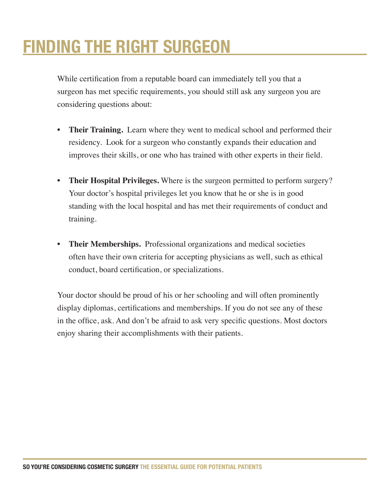### **FINDING THE RIGHT SURGEON**

While certification from a reputable board can immediately tell you that a surgeon has met specific requirements, you should still ask any surgeon you are considering questions about:

- **Their Training.** Learn where they went to medical school and performed their residency. Look for a surgeon who constantly expands their education and improves their skills, or one who has trained with other experts in their field.
- **• Their Hospital Privileges.** Where is the surgeon permitted to perform surgery? Your doctor's hospital privileges let you know that he or she is in good standing with the local hospital and has met their requirements of conduct and training.
- **Their Memberships.** Professional organizations and medical societies often have their own criteria for accepting physicians as well, such as ethical conduct, board certification, or specializations.

Your doctor should be proud of his or her schooling and will often prominently display diplomas, certifications and memberships. If you do not see any of these in the office, ask. And don't be afraid to ask very specific questions. Most doctors enjoy sharing their accomplishments with their patients.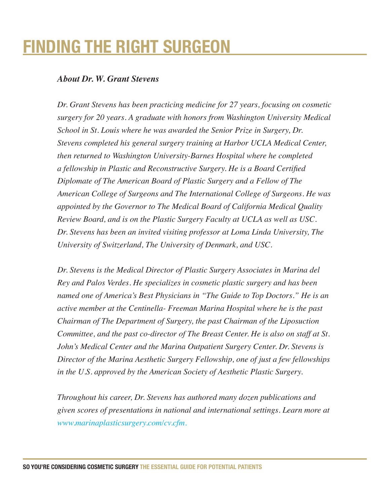### **FINDING THE RIGHT SURGEON**

#### *About Dr. W. Grant Stevens*

*Dr. Grant Stevens has been practicing medicine for 27 years, focusing on cosmetic surgery for 20 years. A graduate with honors from Washington University Medical School in St. Louis where he was awarded the Senior Prize in Surgery, Dr. Stevens completed his general surgery training at Harbor UCLA Medical Center, then returned to Washington University-Barnes Hospital where he completed a fellowship in Plastic and Reconstructive Surgery. He is a Board Certified Diplomate of The American Board of Plastic Surgery and a Fellow of The American College of Surgeons and The International College of Surgeons. He was appointed by the Governor to The Medical Board of California Medical Quality Review Board, and is on the Plastic Surgery Faculty at UCLA as well as USC. Dr. Stevens has been an invited visiting professor at Loma Linda University, The University of Switzerland, The University of Denmark, and USC.*

*Dr. Stevens is the Medical Director of Plastic Surgery Associates in Marina del Rey and Palos Verdes. He specializes in cosmetic plastic surgery and has been named one of America's Best Physicians in "The Guide to Top Doctors." He is an active member at the Centinella- Freeman Marina Hospital where he is the past Chairman of The Department of Surgery, the past Chairman of the Liposuction Committee, and the past co-director of The Breast Center. He is also on staff at St. John's Medical Center and the Marina Outpatient Surgery Center. Dr. Stevens is Director of the Marina Aesthetic Surgery Fellowship, one of just a few fellowships in the U.S. approved by the American Society of Aesthetic Plastic Surgery.*

*Throughout his career, Dr. Stevens has authored many dozen publications and given scores of presentations in national and international settings. Learn more at www.marinaplasticsurgery.com/cv.cfm.*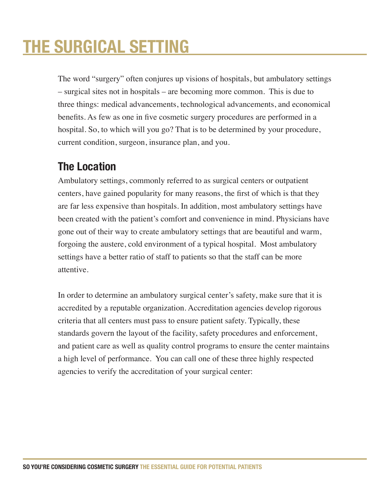### **THE SURGICAL SETTING**

The word "surgery" often conjures up visions of hospitals, but ambulatory settings – surgical sites not in hospitals – are becoming more common. This is due to three things: medical advancements, technological advancements, and economical benefits. As few as one in five cosmetic surgery procedures are performed in a hospital. So, to which will you go? That is to be determined by your procedure, current condition, surgeon, insurance plan, and you.

#### **The Location**

Ambulatory settings, commonly referred to as surgical centers or outpatient centers, have gained popularity for many reasons, the first of which is that they are far less expensive than hospitals. In addition, most ambulatory settings have been created with the patient's comfort and convenience in mind. Physicians have gone out of their way to create ambulatory settings that are beautiful and warm, forgoing the austere, cold environment of a typical hospital. Most ambulatory settings have a better ratio of staff to patients so that the staff can be more attentive.

In order to determine an ambulatory surgical center's safety, make sure that it is accredited by a reputable organization. Accreditation agencies develop rigorous criteria that all centers must pass to ensure patient safety. Typically, these standards govern the layout of the facility, safety procedures and enforcement, and patient care as well as quality control programs to ensure the center maintains a high level of performance. You can call one of these three highly respected agencies to verify the accreditation of your surgical center: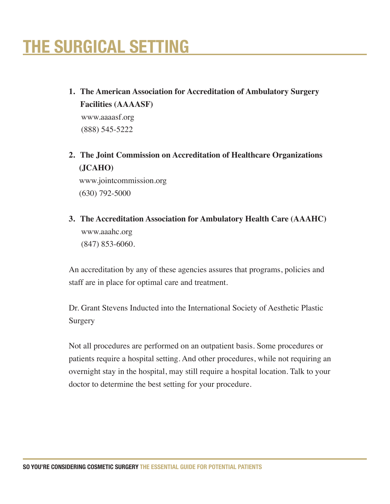### **THE SURGICAL SETTING**

**1. The American Association for Accreditation of Ambulatory Surgery Facilities (AAAASF)**

 www.aaaasf.org (888) 545-5222

- **2. The Joint Commission on Accreditation of Healthcare Organizations (JCAHO)** www.jointcommission.org (630) 792-5000
- **3. The Accreditation Association for Ambulatory Health Care (AAAHC)** www.aaahc.org (847) 853-6060.

An accreditation by any of these agencies assures that programs, policies and staff are in place for optimal care and treatment.

Dr. Grant Stevens Inducted into the International Society of Aesthetic Plastic Surgery

Not all procedures are performed on an outpatient basis. Some procedures or patients require a hospital setting. And other procedures, while not requiring an overnight stay in the hospital, may still require a hospital location. Talk to your doctor to determine the best setting for your procedure.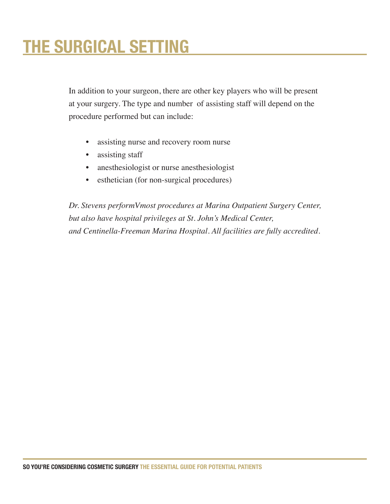# **THE SURGICAL SETTING**

In addition to your surgeon, there are other key players who will be present at your surgery. The type and number of assisting staff will depend on the procedure performed but can include:

- assisting nurse and recovery room nurse
- assisting staff
- anesthesiologist or nurse anesthesiologist
- esthetician (for non-surgical procedures)

*Dr. Stevens performu most procedures at Marina Outpatient Surgery Center, but also have hospital privileges at St. John's Medical Center, and Centinella-Freeman Marina Hospital. All facilities are fully accredited.*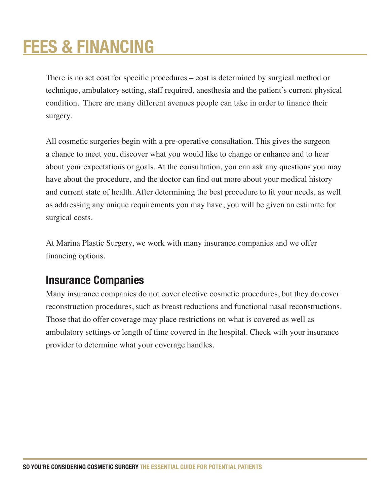# **FEES & FINANCING**

There is no set cost for specific procedures – cost is determined by surgical method or technique, ambulatory setting, staff required, anesthesia and the patient's current physical condition. There are many different avenues people can take in order to finance their surgery.

All cosmetic surgeries begin with a pre-operative consultation. This gives the surgeon a chance to meet you, discover what you would like to change or enhance and to hear about your expectations or goals. At the consultation, you can ask any questions you may have about the procedure, and the doctor can find out more about your medical history and current state of health. After determining the best procedure to fit your needs, as well as addressing any unique requirements you may have, you will be given an estimate for surgical costs.

At Marina Plastic Surgery, we work with many insurance companies and we offer financing options.

#### **Insurance Companies**

Many insurance companies do not cover elective cosmetic procedures, but they do cover reconstruction procedures, such as breast reductions and functional nasal reconstructions. Those that do offer coverage may place restrictions on what is covered as well as ambulatory settings or length of time covered in the hospital. Check with your insurance provider to determine what your coverage handles.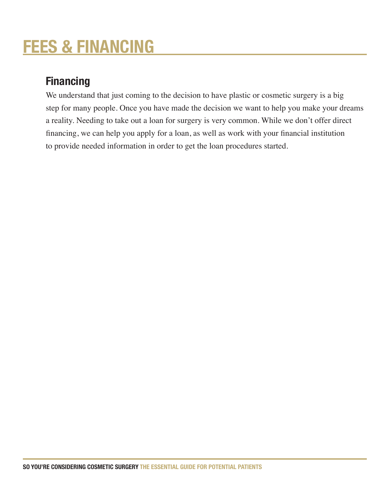# **FEES & FINANCING**

#### **Financing**

We understand that just coming to the decision to have plastic or cosmetic surgery is a big step for many people. Once you have made the decision we want to help you make your dreams a reality. Needing to take out a loan for surgery is very common. While we don't offer direct financing, we can help you apply for a loan, as well as work with your financial institution to provide needed information in order to get the loan procedures started.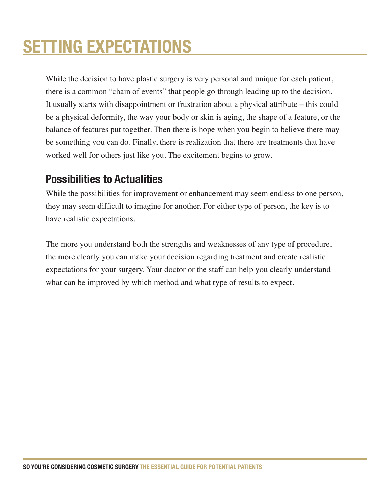# **SETTING EXPECTATIONS**

While the decision to have plastic surgery is very personal and unique for each patient, there is a common "chain of events" that people go through leading up to the decision. It usually starts with disappointment or frustration about a physical attribute – this could be a physical deformity, the way your body or skin is aging, the shape of a feature, or the balance of features put together. Then there is hope when you begin to believe there may be something you can do. Finally, there is realization that there are treatments that have worked well for others just like you. The excitement begins to grow.

#### **Possibilities to Actualities**

While the possibilities for improvement or enhancement may seem endless to one person, they may seem difficult to imagine for another. For either type of person, the key is to have realistic expectations.

The more you understand both the strengths and weaknesses of any type of procedure, the more clearly you can make your decision regarding treatment and create realistic expectations for your surgery. Your doctor or the staff can help you clearly understand what can be improved by which method and what type of results to expect.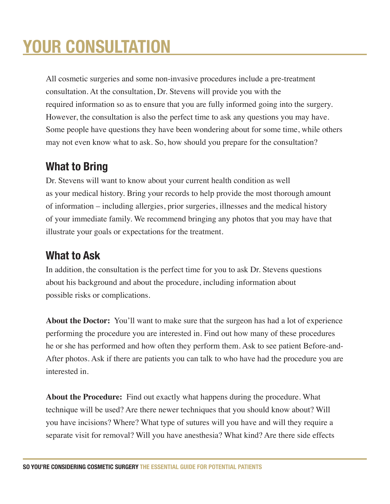# **YOUR CONSULTATION**

All cosmetic surgeries and some non-invasive procedures include a pre-treatment consultation. At the consultation, Dr. Stevens will provide you with the required information so as to ensure that you are fully informed going into the surgery. However, the consultation is also the perfect time to ask any questions you may have. Some people have questions they have been wondering about for some time, while others may not even know what to ask. So, how should you prepare for the consultation?

#### **What to Bring**

Dr. Stevens will want to know about your current health condition as well as your medical history. Bring your records to help provide the most thorough amount of information – including allergies, prior surgeries, illnesses and the medical history of your immediate family. We recommend bringing any photos that you may have that illustrate your goals or expectations for the treatment.

#### **What to Ask**

In addition, the consultation is the perfect time for you to ask Dr. Stevens questions about his background and about the procedure, including information about possible risks or complications.

**About the Doctor:** You'll want to make sure that the surgeon has had a lot of experience performing the procedure you are interested in. Find out how many of these procedures he or she has performed and how often they perform them. Ask to see patient Before-and-After photos. Ask if there are patients you can talk to who have had the procedure you are interested in.

**About the Procedure:** Find out exactly what happens during the procedure. What technique will be used? Are there newer techniques that you should know about? Will you have incisions? Where? What type of sutures will you have and will they require a separate visit for removal? Will you have anesthesia? What kind? Are there side effects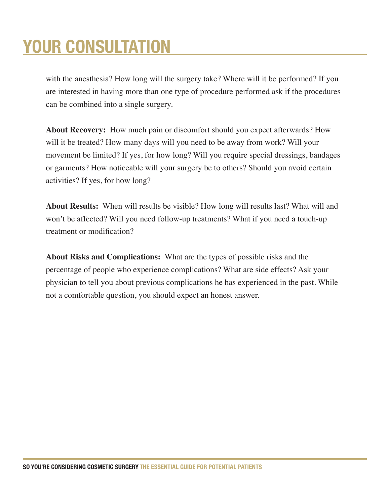# **YOUR CONSULTATION**

with the anesthesia? How long will the surgery take? Where will it be performed? If you are interested in having more than one type of procedure performed ask if the procedures can be combined into a single surgery.

**About Recovery:** How much pain or discomfort should you expect afterwards? How will it be treated? How many days will you need to be away from work? Will your movement be limited? If yes, for how long? Will you require special dressings, bandages or garments? How noticeable will your surgery be to others? Should you avoid certain activities? If yes, for how long?

**About Results:** When will results be visible? How long will results last? What will and won't be affected? Will you need follow-up treatments? What if you need a touch-up treatment or modification?

**About Risks and Complications:** What are the types of possible risks and the percentage of people who experience complications? What are side effects? Ask your physician to tell you about previous complications he has experienced in the past. While not a comfortable question, you should expect an honest answer.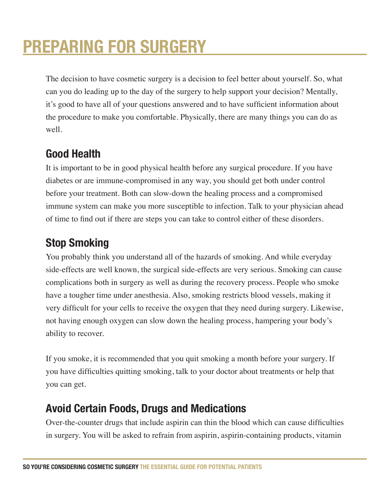# **PREPARING FOR SURGERY**

The decision to have cosmetic surgery is a decision to feel better about yourself. So, what can you do leading up to the day of the surgery to help support your decision? Mentally, it's good to have all of your questions answered and to have sufficient information about the procedure to make you comfortable. Physically, there are many things you can do as well.

#### **Good Health**

It is important to be in good physical health before any surgical procedure. If you have diabetes or are immune-compromised in any way, you should get both under control before your treatment. Both can slow-down the healing process and a compromised immune system can make you more susceptible to infection. Talk to your physician ahead of time to find out if there are steps you can take to control either of these disorders.

#### **Stop Smoking**

You probably think you understand all of the hazards of smoking. And while everyday side-effects are well known, the surgical side-effects are very serious. Smoking can cause complications both in surgery as well as during the recovery process. People who smoke have a tougher time under anesthesia. Also, smoking restricts blood vessels, making it very difficult for your cells to receive the oxygen that they need during surgery. Likewise, not having enough oxygen can slow down the healing process, hampering your body's ability to recover.

If you smoke, it is recommended that you quit smoking a month before your surgery. If you have difficulties quitting smoking, talk to your doctor about treatments or help that you can get.

#### **Avoid Certain Foods, Drugs and Medications**

Over-the-counter drugs that include aspirin can thin the blood which can cause difficulties in surgery. You will be asked to refrain from aspirin, aspirin-containing products, vitamin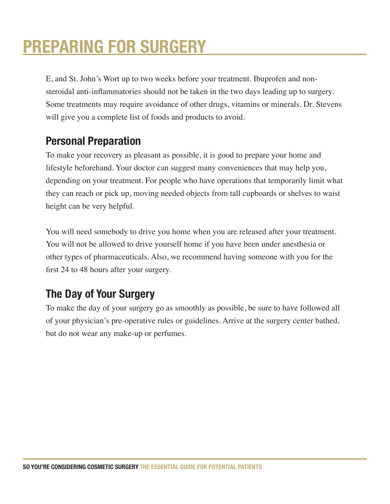# **PREPARING FOR SURGERY**

E, and St. John's Wort up to two weeks before your treatment. Ibuprofen and nonsteroidal anti-inflammatories should not be taken in the two days leading up to surgery. Some treatments may require avoidance of other drugs, vitamins or minerals. Dr. Stevens will give you a complete list of foods and products to avoid.

#### **Personal Preparation**

To make your recovery as pleasant as possible, it is good to prepare your home and lifestyle beforehand. Your doctor can suggest many conveniences that may help you, depending on your treatment. For people who have operations that temporarily limit what they can reach or pick up, moving needed objects from tall cupboards or shelves to waist height can be very helpful.

You will need somebody to drive you home when you are released after your treatment. You will not be allowed to drive yourself home if you have been under anesthesia or other types of pharmaceuticals. Also, we recommend having someone with you for the first 24 to 48 hours after your surgery.

#### **The Day of Your Surgery**

To make the day of your surgery go as smoothly as possible, be sure to have followed all of your physician's pre-operative rules or guidelines. Arrive at the surgery center bathed, but do not wear any make-up or perfumes.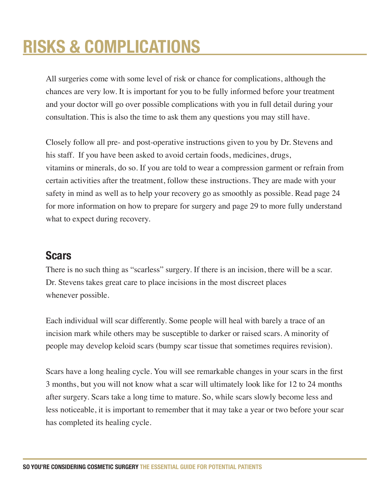# **RISKS & COMPLICATIONS**

All surgeries come with some level of risk or chance for complications, although the chances are very low. It is important for you to be fully informed before your treatment and your doctor will go over possible complications with you in full detail during your consultation. This is also the time to ask them any questions you may still have.

Closely follow all pre- and post-operative instructions given to you by Dr. Stevens and his staff. If you have been asked to avoid certain foods, medicines, drugs, vitamins or minerals, do so. If you are told to wear a compression garment or refrain from certain activities after the treatment, follow these instructions. They are made with your safety in mind as well as to help your recovery go as smoothly as possible. Read page 24 for more information on how to prepare for surgery and page 29 to more fully understand what to expect during recovery.

#### **Scars**

There is no such thing as "scarless" surgery. If there is an incision, there will be a scar. Dr. Stevens takes great care to place incisions in the most discreet places whenever possible.

Each individual will scar differently. Some people will heal with barely a trace of an incision mark while others may be susceptible to darker or raised scars. A minority of people may develop keloid scars (bumpy scar tissue that sometimes requires revision).

Scars have a long healing cycle. You will see remarkable changes in your scars in the first 3 months, but you will not know what a scar will ultimately look like for 12 to 24 months after surgery. Scars take a long time to mature. So, while scars slowly become less and less noticeable, it is important to remember that it may take a year or two before your scar has completed its healing cycle.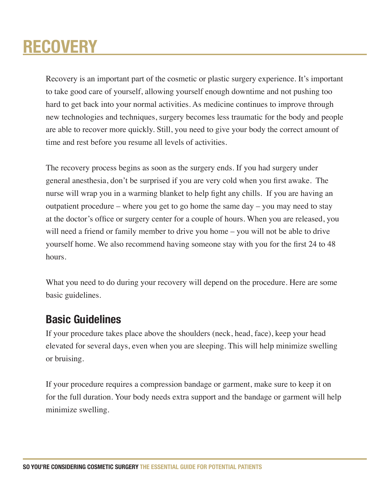### **RECOVERY**

Recovery is an important part of the cosmetic or plastic surgery experience. It's important to take good care of yourself, allowing yourself enough downtime and not pushing too hard to get back into your normal activities. As medicine continues to improve through new technologies and techniques, surgery becomes less traumatic for the body and people are able to recover more quickly. Still, you need to give your body the correct amount of time and rest before you resume all levels of activities.

The recovery process begins as soon as the surgery ends. If you had surgery under general anesthesia, don't be surprised if you are very cold when you first awake. The nurse will wrap you in a warming blanket to help fight any chills. If you are having an outpatient procedure – where you get to go home the same day – you may need to stay at the doctor's office or surgery center for a couple of hours. When you are released, you will need a friend or family member to drive you home – you will not be able to drive yourself home. We also recommend having someone stay with you for the first 24 to 48 hours.

What you need to do during your recovery will depend on the procedure. Here are some basic guidelines.

#### **Basic Guidelines**

If your procedure takes place above the shoulders (neck, head, face), keep your head elevated for several days, even when you are sleeping. This will help minimize swelling or bruising.

If your procedure requires a compression bandage or garment, make sure to keep it on for the full duration. Your body needs extra support and the bandage or garment will help minimize swelling.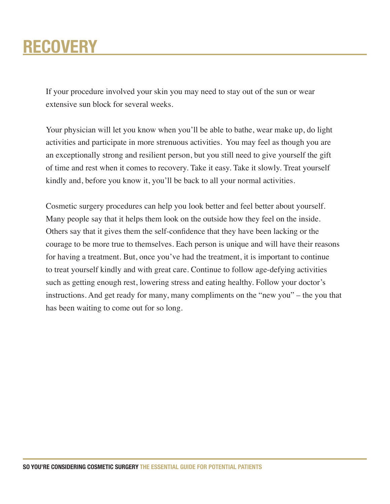### **RECOVERY**

If your procedure involved your skin you may need to stay out of the sun or wear extensive sun block for several weeks.

Your physician will let you know when you'll be able to bathe, wear make up, do light activities and participate in more strenuous activities. You may feel as though you are an exceptionally strong and resilient person, but you still need to give yourself the gift of time and rest when it comes to recovery. Take it easy. Take it slowly. Treat yourself kindly and, before you know it, you'll be back to all your normal activities.

Cosmetic surgery procedures can help you look better and feel better about yourself. Many people say that it helps them look on the outside how they feel on the inside. Others say that it gives them the self-confidence that they have been lacking or the courage to be more true to themselves. Each person is unique and will have their reasons for having a treatment. But, once you've had the treatment, it is important to continue to treat yourself kindly and with great care. Continue to follow age-defying activities such as getting enough rest, lowering stress and eating healthy. Follow your doctor's instructions. And get ready for many, many compliments on the "new you" – the you that has been waiting to come out for so long.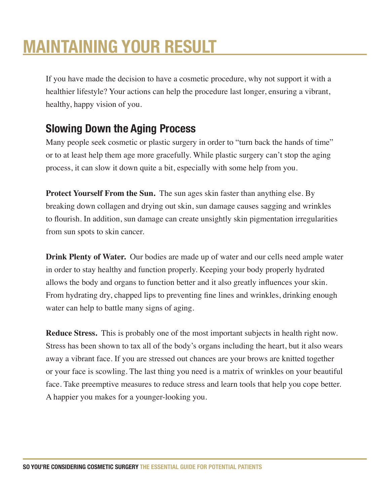### **MAINTAINING YOUR RESULT**

If you have made the decision to have a cosmetic procedure, why not support it with a healthier lifestyle? Your actions can help the procedure last longer, ensuring a vibrant, healthy, happy vision of you.

#### **Slowing Down the Aging Process**

Many people seek cosmetic or plastic surgery in order to "turn back the hands of time" or to at least help them age more gracefully. While plastic surgery can't stop the aging process, it can slow it down quite a bit, especially with some help from you.

**Protect Yourself From the Sun.** The sun ages skin faster than anything else. By breaking down collagen and drying out skin, sun damage causes sagging and wrinkles to flourish. In addition, sun damage can create unsightly skin pigmentation irregularities from sun spots to skin cancer.

**Drink Plenty of Water.** Our bodies are made up of water and our cells need ample water in order to stay healthy and function properly. Keeping your body properly hydrated allows the body and organs to function better and it also greatly influences your skin. From hydrating dry, chapped lips to preventing fine lines and wrinkles, drinking enough water can help to battle many signs of aging.

**Reduce Stress.** This is probably one of the most important subjects in health right now. Stress has been shown to tax all of the body's organs including the heart, but it also wears away a vibrant face. If you are stressed out chances are your brows are knitted together or your face is scowling. The last thing you need is a matrix of wrinkles on your beautiful face. Take preemptive measures to reduce stress and learn tools that help you cope better. A happier you makes for a younger-looking you.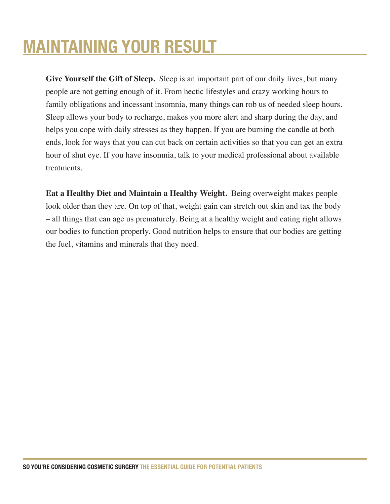### **MAINTAINING YOUR RESULT**

**Give Yourself the Gift of Sleep.** Sleep is an important part of our daily lives, but many people are not getting enough of it. From hectic lifestyles and crazy working hours to family obligations and incessant insomnia, many things can rob us of needed sleep hours. Sleep allows your body to recharge, makes you more alert and sharp during the day, and helps you cope with daily stresses as they happen. If you are burning the candle at both ends, look for ways that you can cut back on certain activities so that you can get an extra hour of shut eye. If you have insomnia, talk to your medical professional about available treatments.

**Eat a Healthy Diet and Maintain a Healthy Weight.** Being overweight makes people look older than they are. On top of that, weight gain can stretch out skin and tax the body – all things that can age us prematurely. Being at a healthy weight and eating right allows our bodies to function properly. Good nutrition helps to ensure that our bodies are getting the fuel, vitamins and minerals that they need.